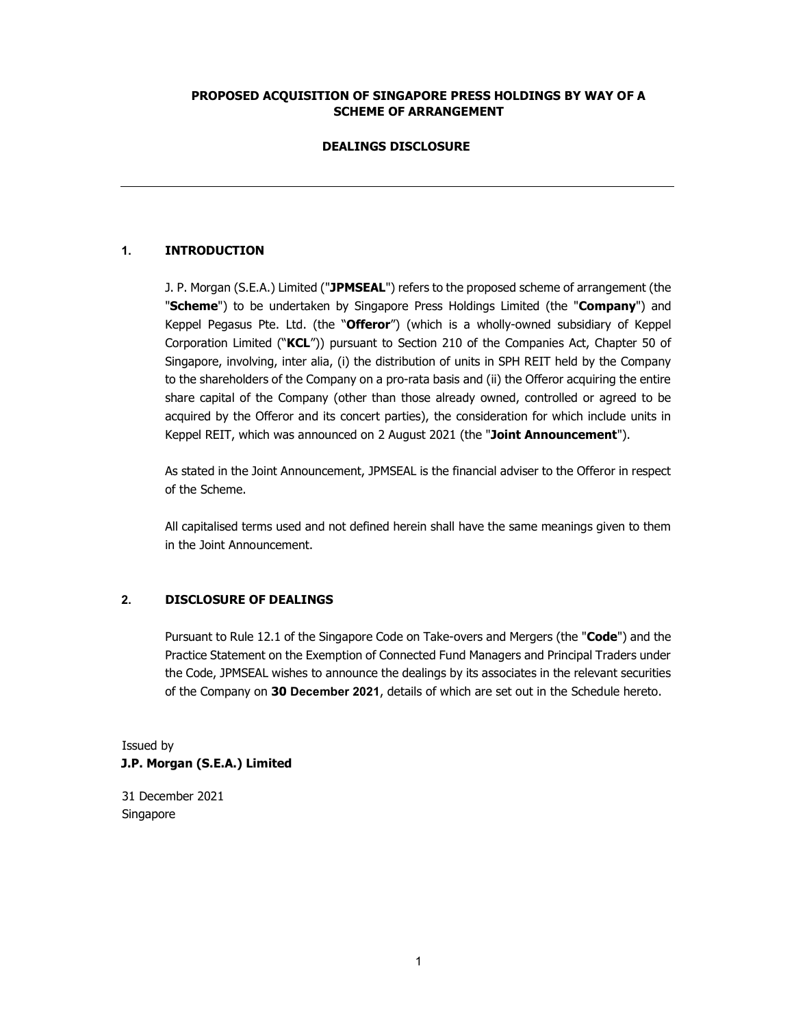### PROPOSED ACQUISITION OF SINGAPORE PRESS HOLDINGS BY WAY OF A SCHEME OF ARRANGEMENT

#### DEALINGS DISCLOSURE

### 1. INTRODUCTION

J. P. Morgan (S.E.A.) Limited ("JPMSEAL") refers to the proposed scheme of arrangement (the "Scheme") to be undertaken by Singapore Press Holdings Limited (the "Company") and Keppel Pegasus Pte. Ltd. (the "Offeror") (which is a wholly-owned subsidiary of Keppel Corporation Limited ("KCL")) pursuant to Section 210 of the Companies Act, Chapter 50 of Singapore, involving, inter alia, (i) the distribution of units in SPH REIT held by the Company to the shareholders of the Company on a pro-rata basis and (ii) the Offeror acquiring the entire share capital of the Company (other than those already owned, controlled or agreed to be acquired by the Offeror and its concert parties), the consideration for which include units in Keppel REIT, which was announced on 2 August 2021 (the "Joint Announcement").

As stated in the Joint Announcement, JPMSEAL is the financial adviser to the Offeror in respect of the Scheme.

All capitalised terms used and not defined herein shall have the same meanings given to them in the Joint Announcement.

## 2. DISCLOSURE OF DEALINGS

Pursuant to Rule 12.1 of the Singapore Code on Take-overs and Mergers (the "Code") and the Practice Statement on the Exemption of Connected Fund Managers and Principal Traders under the Code, JPMSEAL wishes to announce the dealings by its associates in the relevant securities of the Company on 30 December 2021, details of which are set out in the Schedule hereto.

# Issued by J.P. Morgan (S.E.A.) Limited

31 December 2021 Singapore